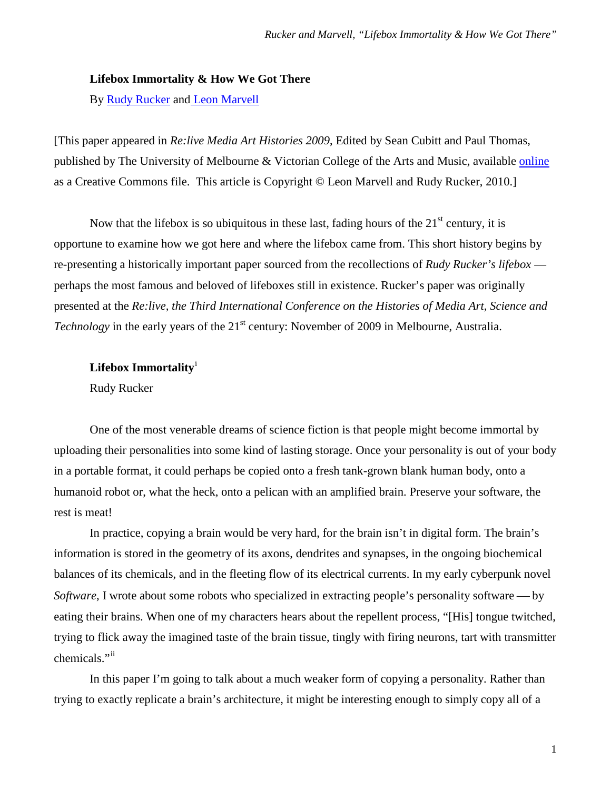## **Lifebox Immortality & How We Got There**

By [Rudy Rucker](http://www.rudyrucker.com/) and [Leon Marvell](http://www.deakin.edu.au/arts-ed/scca/staff-directory2.php?username=leon)

[This paper appeared in *Re:live Media Art Histories 2009*, Edited by Sean Cubitt and Paul Thomas, published by The University of Melbourne & Victorian College of the Arts and Music, available [online](http://www.mediaarthistory.org/relive/ReLive09Proceedings.pdf)  as a Creative Commons file. This article is Copyright © Leon Marvell and Rudy Rucker, 2010.]

Now that the lifebox is so ubiquitous in these last, fading hours of the  $21<sup>st</sup>$  century, it is opportune to examine how we got here and where the lifebox came from. This short history begins by re-presenting a historically important paper sourced from the recollections of *Rudy Rucker's lifebox* perhaps the most famous and beloved of lifeboxes still in existence. Rucker's paper was originally presented at the *Re:live, the Third International Conference on the Histories of Media Art, Science and Technology* in the early years of the 21<sup>st</sup> century: November of 2009 in Melbourne, Australia.

## **Lifebox Immortality**[i](#page-13-0)

Rudy Rucker

One of the most venerable dreams of science fiction is that people might become immortal by uploading their personalities into some kind of lasting storage. Once your personality is out of your body in a portable format, it could perhaps be copied onto a fresh tank-grown blank human body, onto a humanoid robot or, what the heck, onto a pelican with an amplified brain. Preserve your software, the rest is meat!

In practice, copying a brain would be very hard, for the brain isn't in digital form. The brain's information is stored in the geometry of its axons, dendrites and synapses, in the ongoing biochemical balances of its chemicals, and in the fleeting flow of its electrical currents. In my early cyberpunk novel *Software*, I wrote about some robots who specialized in extracting people's personality software — by eating their brains. When one of my characters hears about the repellent process, "[His] tongue twitched, trying to flick away the imagined taste of the brain tissue, tingly with firing neurons, tart with transmitter chemicals."<sup>[ii](#page-13-1)</sup>

In this paper I'm going to talk about a much weaker form of copying a personality. Rather than trying to exactly replicate a brain's architecture, it might be interesting enough to simply copy all of a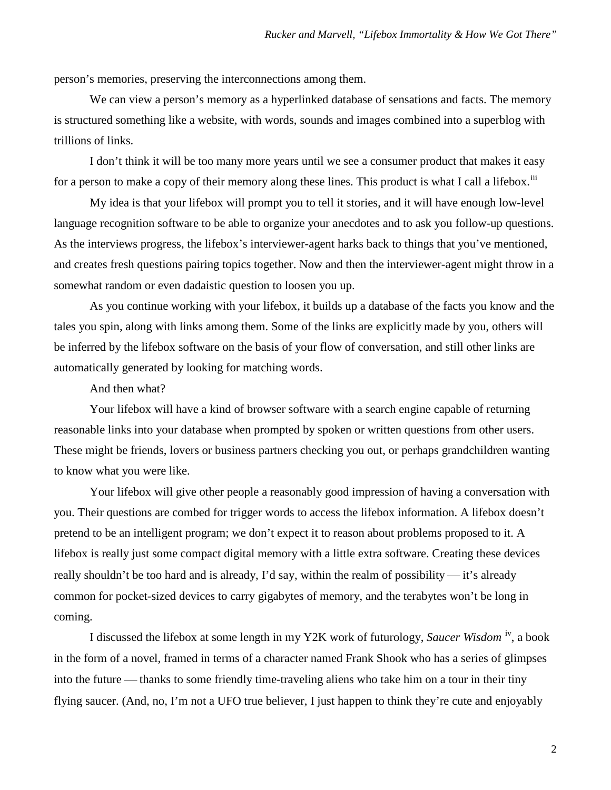person's memories, preserving the interconnections among them.

We can view a person's memory as a hyperlinked database of sensations and facts. The memory is structured something like a website, with words, sounds and images combined into a superblog with trillions of links.

I don't think it will be too many more years until we see a consumer product that makes it easy for a person to make a copy of their memory along these lines. This product is what I call a lifebox.<sup>[iii](#page-14-0)</sup>

My idea is that your lifebox will prompt you to tell it stories, and it will have enough low-level language recognition software to be able to organize your anecdotes and to ask you follow-up questions. As the interviews progress, the lifebox's interviewer-agent harks back to things that you've mentioned, and creates fresh questions pairing topics together. Now and then the interviewer-agent might throw in a somewhat random or even dadaistic question to loosen you up.

As you continue working with your lifebox, it builds up a database of the facts you know and the tales you spin, along with links among them. Some of the links are explicitly made by you, others will be inferred by the lifebox software on the basis of your flow of conversation, and still other links are automatically generated by looking for matching words.

And then what?

Your lifebox will have a kind of browser software with a search engine capable of returning reasonable links into your database when prompted by spoken or written questions from other users. These might be friends, lovers or business partners checking you out, or perhaps grandchildren wanting to know what you were like.

Your lifebox will give other people a reasonably good impression of having a conversation with you. Their questions are combed for trigger words to access the lifebox information. A lifebox doesn't pretend to be an intelligent program; we don't expect it to reason about problems proposed to it. A lifebox is really just some compact digital memory with a little extra software. Creating these devices really shouldn't be too hard and is already, I'd say, within the realm of possibility — it's already common for pocket-sized devices to carry gigabytes of memory, and the terabytes won't be long in coming.

I discussed the lifebox at some length in my Y2K work of futurology, *Saucer Wisdom* [iv,](#page-14-1) a book in the form of a novel, framed in terms of a character named Frank Shook who has a series of glimpses into the future — thanks to some friendly time-traveling aliens who take him on a tour in their tiny flying saucer. (And, no, I'm not a UFO true believer, I just happen to think they're cute and enjoyably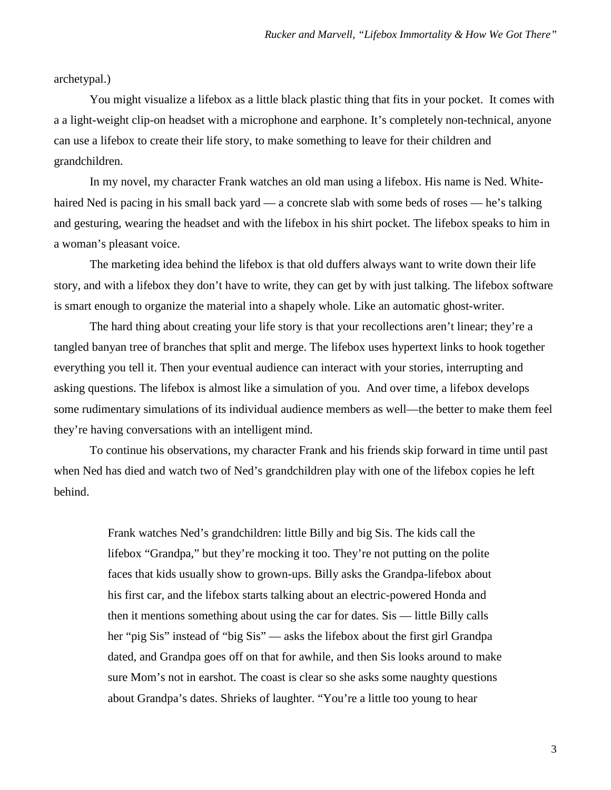archetypal.)

You might visualize a lifebox as a little black plastic thing that fits in your pocket. It comes with a a light-weight clip-on headset with a microphone and earphone. It's completely non-technical, anyone can use a lifebox to create their life story, to make something to leave for their children and grandchildren.

In my novel, my character Frank watches an old man using a lifebox. His name is Ned. Whitehaired Ned is pacing in his small back yard — a concrete slab with some beds of roses — he's talking and gesturing, wearing the headset and with the lifebox in his shirt pocket. The lifebox speaks to him in a woman's pleasant voice.

The marketing idea behind the lifebox is that old duffers always want to write down their life story, and with a lifebox they don't have to write, they can get by with just talking. The lifebox software is smart enough to organize the material into a shapely whole. Like an automatic ghost-writer.

The hard thing about creating your life story is that your recollections aren't linear; they're a tangled banyan tree of branches that split and merge. The lifebox uses hypertext links to hook together everything you tell it. Then your eventual audience can interact with your stories, interrupting and asking questions. The lifebox is almost like a simulation of you. And over time, a lifebox develops some rudimentary simulations of its individual audience members as well—the better to make them feel they're having conversations with an intelligent mind.

To continue his observations, my character Frank and his friends skip forward in time until past when Ned has died and watch two of Ned's grandchildren play with one of the lifebox copies he left behind.

> Frank watches Ned's grandchildren: little Billy and big Sis. The kids call the lifebox "Grandpa," but they're mocking it too. They're not putting on the polite faces that kids usually show to grown-ups. Billy asks the Grandpa-lifebox about his first car, and the lifebox starts talking about an electric-powered Honda and then it mentions something about using the car for dates. Sis — little Billy calls her "pig Sis" instead of "big Sis" — asks the lifebox about the first girl Grandpa dated, and Grandpa goes off on that for awhile, and then Sis looks around to make sure Mom's not in earshot. The coast is clear so she asks some naughty questions about Grandpa's dates. Shrieks of laughter. "You're a little too young to hear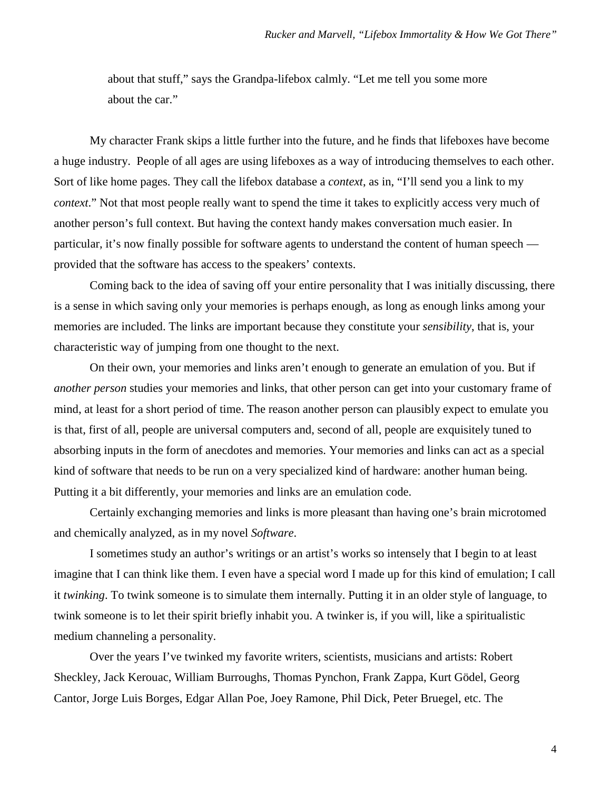about that stuff," says the Grandpa-lifebox calmly. "Let me tell you some more about the car."

My character Frank skips a little further into the future, and he finds that lifeboxes have become a huge industry. People of all ages are using lifeboxes as a way of introducing themselves to each other. Sort of like home pages. They call the lifebox database a *context*, as in, "I'll send you a link to my *context*." Not that most people really want to spend the time it takes to explicitly access very much of another person's full context. But having the context handy makes conversation much easier. In particular, it's now finally possible for software agents to understand the content of human speech provided that the software has access to the speakers' contexts.

Coming back to the idea of saving off your entire personality that I was initially discussing, there is a sense in which saving only your memories is perhaps enough, as long as enough links among your memories are included. The links are important because they constitute your *sensibility*, that is, your characteristic way of jumping from one thought to the next.

On their own, your memories and links aren't enough to generate an emulation of you. But if *another person* studies your memories and links, that other person can get into your customary frame of mind, at least for a short period of time. The reason another person can plausibly expect to emulate you is that, first of all, people are universal computers and, second of all, people are exquisitely tuned to absorbing inputs in the form of anecdotes and memories. Your memories and links can act as a special kind of software that needs to be run on a very specialized kind of hardware: another human being. Putting it a bit differently, your memories and links are an emulation code.

Certainly exchanging memories and links is more pleasant than having one's brain microtomed and chemically analyzed, as in my novel *Software*.

I sometimes study an author's writings or an artist's works so intensely that I begin to at least imagine that I can think like them. I even have a special word I made up for this kind of emulation; I call it *twinking*. To twink someone is to simulate them internally. Putting it in an older style of language, to twink someone is to let their spirit briefly inhabit you. A twinker is, if you will, like a spiritualistic medium channeling a personality.

Over the years I've twinked my favorite writers, scientists, musicians and artists: Robert Sheckley, Jack Kerouac, William Burroughs, Thomas Pynchon, Frank Zappa, Kurt Gödel, Georg Cantor, Jorge Luis Borges, Edgar Allan Poe, Joey Ramone, Phil Dick, Peter Bruegel, etc. The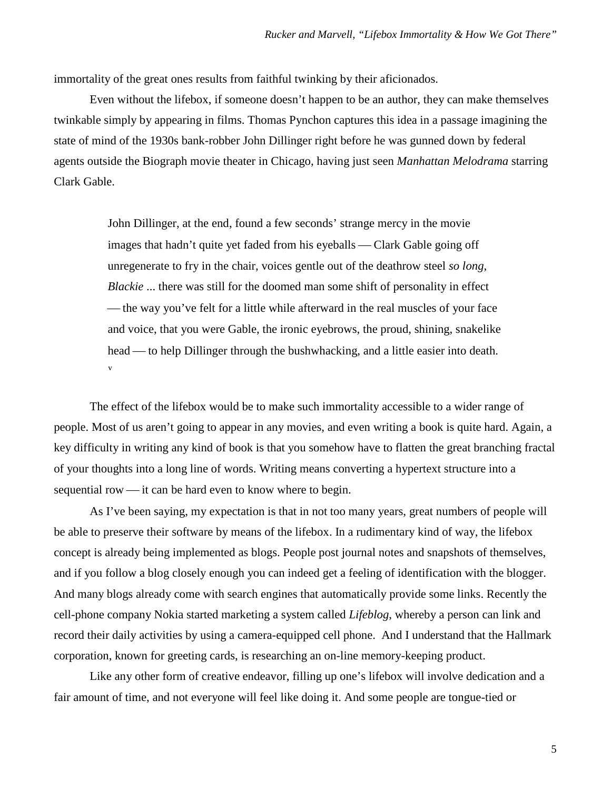immortality of the great ones results from faithful twinking by their aficionados.

Even without the lifebox, if someone doesn't happen to be an author, they can make themselves twinkable simply by appearing in films. Thomas Pynchon captures this idea in a passage imagining the state of mind of the 1930s bank-robber John Dillinger right before he was gunned down by federal agents outside the Biograph movie theater in Chicago, having just seen *Manhattan Melodrama* starring Clark Gable.

> John Dillinger, at the end, found a few seconds' strange mercy in the movie images that hadn't quite yet faded from his eyeballs — Clark Gable going off unregenerate to fry in the chair, voices gentle out of the deathrow steel *so long, Blackie* ... there was still for the doomed man some shift of personality in effect the way you've felt for a little while afterward in the real muscles of your face and voice, that you were Gable, the ironic eyebrows, the proud, shining, snakelike head — to help Dillinger through the bushwhacking, and a little easier into death. [v](#page-14-2)

The effect of the lifebox would be to make such immortality accessible to a wider range of people. Most of us aren't going to appear in any movies, and even writing a book is quite hard. Again, a key difficulty in writing any kind of book is that you somehow have to flatten the great branching fractal of your thoughts into a long line of words. Writing means converting a hypertext structure into a sequential row  $\frac{d}{dx}$  it can be hard even to know where to begin.

As I've been saying, my expectation is that in not too many years, great numbers of people will be able to preserve their software by means of the lifebox. In a rudimentary kind of way, the lifebox concept is already being implemented as blogs. People post journal notes and snapshots of themselves, and if you follow a blog closely enough you can indeed get a feeling of identification with the blogger. And many blogs already come with search engines that automatically provide some links. Recently the cell-phone company Nokia started marketing a system called *Lifeblog*, whereby a person can link and record their daily activities by using a camera-equipped cell phone. And I understand that the Hallmark corporation, known for greeting cards, is researching an on-line memory-keeping product.

Like any other form of creative endeavor, filling up one's lifebox will involve dedication and a fair amount of time, and not everyone will feel like doing it. And some people are tongue-tied or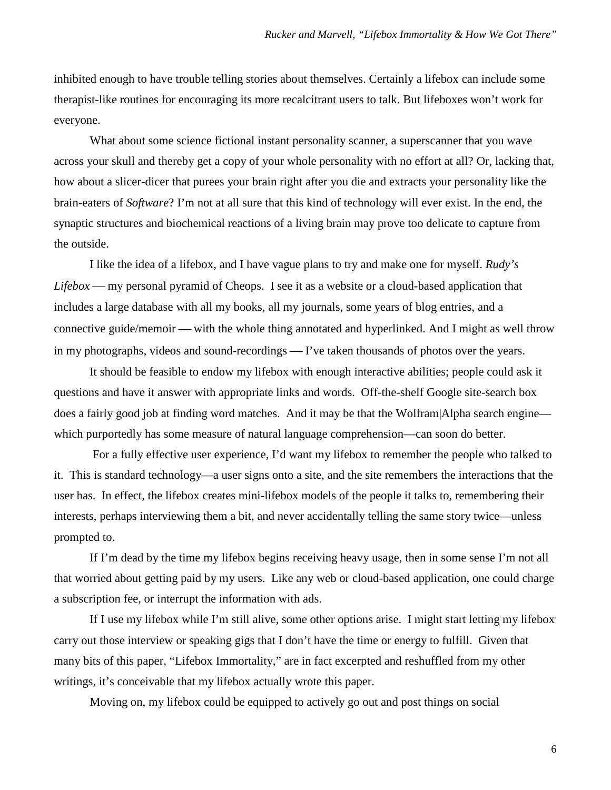inhibited enough to have trouble telling stories about themselves. Certainly a lifebox can include some therapist-like routines for encouraging its more recalcitrant users to talk. But lifeboxes won't work for everyone.

What about some science fictional instant personality scanner, a superscanner that you wave across your skull and thereby get a copy of your whole personality with no effort at all? Or, lacking that, how about a slicer-dicer that purees your brain right after you die and extracts your personality like the brain-eaters of *Software*? I'm not at all sure that this kind of technology will ever exist. In the end, the synaptic structures and biochemical reactions of a living brain may prove too delicate to capture from the outside.

I like the idea of a lifebox, and I have vague plans to try and make one for myself. *Rudy's Lifebox* — my personal pyramid of Cheops. I see it as a website or a cloud-based application that includes a large database with all my books, all my journals, some years of blog entries, and a connective guide/memoir — with the whole thing annotated and hyperlinked. And I might as well throw in my photographs, videos and sound-recordings — I've taken thousands of photos over the years.

It should be feasible to endow my lifebox with enough interactive abilities; people could ask it questions and have it answer with appropriate links and words. Off-the-shelf Google site-search box does a fairly good job at finding word matches. And it may be that the Wolfram|Alpha search engine which purportedly has some measure of natural language comprehension—can soon do better.

For a fully effective user experience, I'd want my lifebox to remember the people who talked to it. This is standard technology—a user signs onto a site, and the site remembers the interactions that the user has. In effect, the lifebox creates mini-lifebox models of the people it talks to, remembering their interests, perhaps interviewing them a bit, and never accidentally telling the same story twice—unless prompted to.

If I'm dead by the time my lifebox begins receiving heavy usage, then in some sense I'm not all that worried about getting paid by my users. Like any web or cloud-based application, one could charge a subscription fee, or interrupt the information with ads.

If I use my lifebox while I'm still alive, some other options arise. I might start letting my lifebox carry out those interview or speaking gigs that I don't have the time or energy to fulfill. Given that many bits of this paper, "Lifebox Immortality," are in fact excerpted and reshuffled from my other writings, it's conceivable that my lifebox actually wrote this paper.

Moving on, my lifebox could be equipped to actively go out and post things on social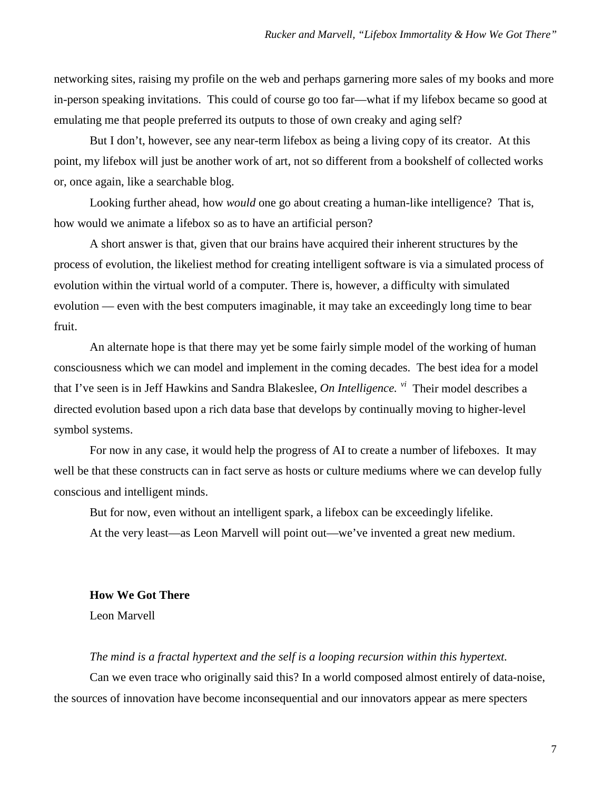networking sites, raising my profile on the web and perhaps garnering more sales of my books and more in-person speaking invitations. This could of course go too far—what if my lifebox became so good at emulating me that people preferred its outputs to those of own creaky and aging self?

But I don't, however, see any near-term lifebox as being a living copy of its creator. At this point, my lifebox will just be another work of art, not so different from a bookshelf of collected works or, once again, like a searchable blog.

Looking further ahead, how *would* one go about creating a human-like intelligence? That is, how would we animate a lifebox so as to have an artificial person?

A short answer is that, given that our brains have acquired their inherent structures by the process of evolution, the likeliest method for creating intelligent software is via a simulated process of evolution within the virtual world of a computer. There is, however, a difficulty with simulated evolution — even with the best computers imaginable, it may take an exceedingly long time to bear fruit.

An alternate hope is that there may yet be some fairly simple model of the working of human consciousness which we can model and implement in the coming decades. The best idea for a model that I've seen is in Jeff Hawkins and [Sandra Blakeslee,](http://www.amazon.com/Sandra-Blakeslee/e/B001ILMBW0/ref=ntt_athr_dp_pel_2) *On Intelligence. [vi](#page-14-3)* Their model describes a directed evolution based upon a rich data base that develops by continually moving to higher-level symbol systems.

For now in any case, it would help the progress of AI to create a number of lifeboxes. It may well be that these constructs can in fact serve as hosts or culture mediums where we can develop fully conscious and intelligent minds.

But for now, even without an intelligent spark, a lifebox can be exceedingly lifelike. At the very least—as Leon Marvell will point out—we've invented a great new medium.

**How We Got There** Leon Marvell

*The mind is a fractal hypertext and the self is a looping recursion within this hypertext.*

Can we even trace who originally said this? In a world composed almost entirely of data-noise, the sources of innovation have become inconsequential and our innovators appear as mere specters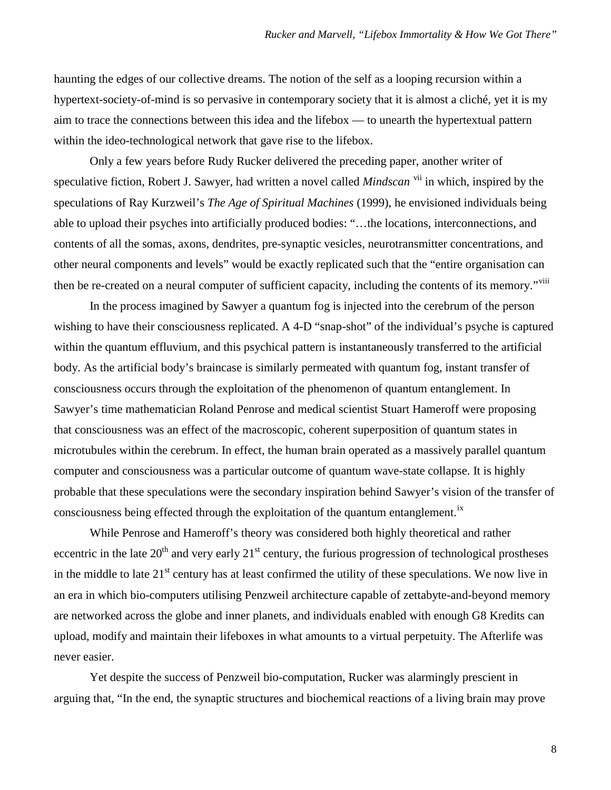haunting the edges of our collective dreams. The notion of the self as a looping recursion within a hypertext-society-of-mind is so pervasive in contemporary society that it is almost a cliché, yet it is my aim to trace the connections between this idea and the lifebox — to unearth the hypertextual pattern within the ideo-technological network that gave rise to the lifebox.

Only a few years before Rudy Rucker delivered the preceding paper, another writer of speculative fiction, Robert J. Sawyer, had written a novel called *Mindscan* [vii](#page-14-4) in which, inspired by the speculations of Ray Kurzweil's *The Age of Spiritual Machines* (1999), he envisioned individuals being able to upload their psyches into artificially produced bodies: "…the locations, interconnections, and contents of all the somas, axons, dendrites, pre-synaptic vesicles, neurotransmitter concentrations, and other neural components and levels" would be exactly replicated such that the "entire organisation can then be re-created on a neural computer of sufficient capacity, including the contents of its memory."<sup>[viii](#page-14-5)</sup>

In the process imagined by Sawyer a quantum fog is injected into the cerebrum of the person wishing to have their consciousness replicated. A 4-D "snap-shot" of the individual's psyche is captured within the quantum effluvium, and this psychical pattern is instantaneously transferred to the artificial body. As the artificial body's braincase is similarly permeated with quantum fog, instant transfer of consciousness occurs through the exploitation of the phenomenon of quantum entanglement. In Sawyer's time mathematician Roland Penrose and medical scientist Stuart Hameroff were proposing that consciousness was an effect of the macroscopic, coherent superposition of quantum states in microtubules within the cerebrum. In effect, the human brain operated as a massively parallel quantum computer and consciousness was a particular outcome of quantum wave-state collapse. It is highly probable that these speculations were the secondary inspiration behind Sawyer's vision of the transfer of consciousness being effected through the exploitation of the quantum entanglement.<sup>[ix](#page-14-6)</sup>

While Penrose and Hameroff's theory was considered both highly theoretical and rather eccentric in the late  $20^{th}$  and very early  $21^{st}$  century, the furious progression of technological prostheses in the middle to late  $21<sup>st</sup>$  century has at least confirmed the utility of these speculations. We now live in an era in which bio-computers utilising Penzweil architecture capable of zettabyte-and-beyond memory are networked across the globe and inner planets, and individuals enabled with enough G8 Kredits can upload, modify and maintain their lifeboxes in what amounts to a virtual perpetuity. The Afterlife was never easier.

Yet despite the success of Penzweil bio-computation, Rucker was alarmingly prescient in arguing that, "In the end, the synaptic structures and biochemical reactions of a living brain may prove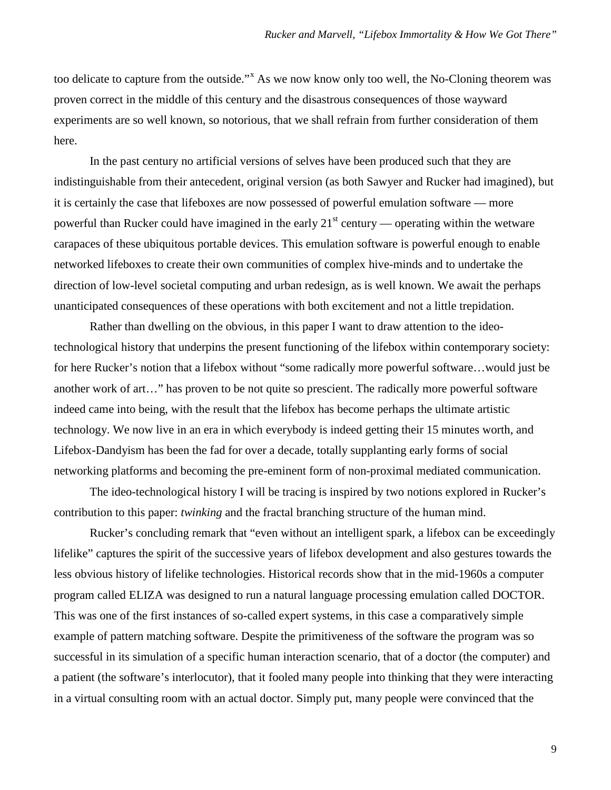too delicate to capture from the outside."<sup>[x](#page-14-7)</sup> As we now know only too well, the No-Cloning theorem was proven correct in the middle of this century and the disastrous consequences of those wayward experiments are so well known, so notorious, that we shall refrain from further consideration of them here.

In the past century no artificial versions of selves have been produced such that they are indistinguishable from their antecedent, original version (as both Sawyer and Rucker had imagined), but it is certainly the case that lifeboxes are now possessed of powerful emulation software — more powerful than Rucker could have imagined in the early  $21<sup>st</sup>$  century — operating within the wetware carapaces of these ubiquitous portable devices. This emulation software is powerful enough to enable networked lifeboxes to create their own communities of complex hive-minds and to undertake the direction of low-level societal computing and urban redesign, as is well known. We await the perhaps unanticipated consequences of these operations with both excitement and not a little trepidation.

Rather than dwelling on the obvious, in this paper I want to draw attention to the ideotechnological history that underpins the present functioning of the lifebox within contemporary society: for here Rucker's notion that a lifebox without "some radically more powerful software…would just be another work of art…" has proven to be not quite so prescient. The radically more powerful software indeed came into being, with the result that the lifebox has become perhaps the ultimate artistic technology. We now live in an era in which everybody is indeed getting their 15 minutes worth, and Lifebox-Dandyism has been the fad for over a decade, totally supplanting early forms of social networking platforms and becoming the pre-eminent form of non-proximal mediated communication.

The ideo-technological history I will be tracing is inspired by two notions explored in Rucker's contribution to this paper: *twinking* and the fractal branching structure of the human mind.

Rucker's concluding remark that "even without an intelligent spark, a lifebox can be exceedingly lifelike" captures the spirit of the successive years of lifebox development and also gestures towards the less obvious history of lifelike technologies. Historical records show that in the mid-1960s a computer program called ELIZA was designed to run a natural language processing emulation called DOCTOR. This was one of the first instances of so-called expert systems, in this case a comparatively simple example of pattern matching software. Despite the primitiveness of the software the program was so successful in its simulation of a specific human interaction scenario, that of a doctor (the computer) and a patient (the software's interlocutor), that it fooled many people into thinking that they were interacting in a virtual consulting room with an actual doctor. Simply put, many people were convinced that the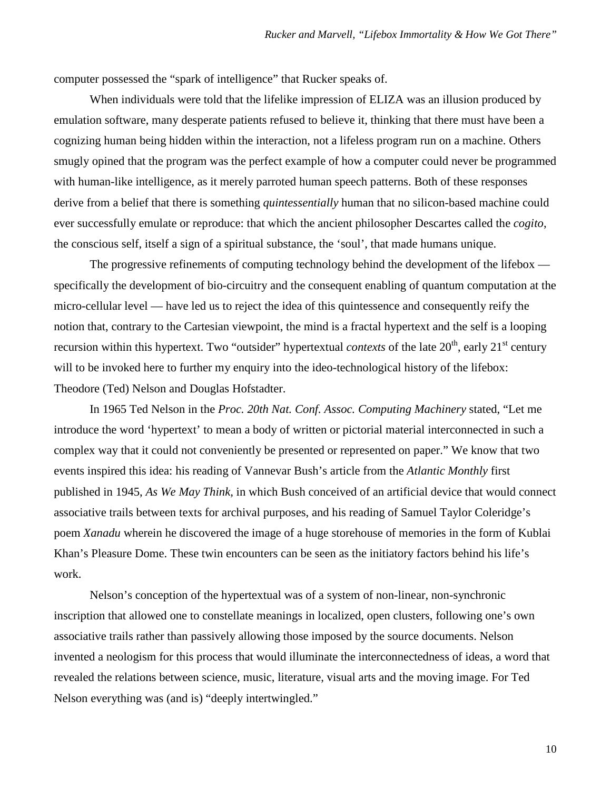computer possessed the "spark of intelligence" that Rucker speaks of.

When individuals were told that the lifelike impression of ELIZA was an illusion produced by emulation software, many desperate patients refused to believe it, thinking that there must have been a cognizing human being hidden within the interaction, not a lifeless program run on a machine. Others smugly opined that the program was the perfect example of how a computer could never be programmed with human-like intelligence, as it merely parroted human speech patterns. Both of these responses derive from a belief that there is something *quintessentially* human that no silicon-based machine could ever successfully emulate or reproduce: that which the ancient philosopher Descartes called the *cogito*, the conscious self, itself a sign of a spiritual substance, the 'soul', that made humans unique.

The progressive refinements of computing technology behind the development of the lifebox specifically the development of bio-circuitry and the consequent enabling of quantum computation at the micro-cellular level — have led us to reject the idea of this quintessence and consequently reify the notion that, contrary to the Cartesian viewpoint, the mind is a fractal hypertext and the self is a looping recursion within this hypertext. Two "outsider" hypertextual *contexts* of the late 20<sup>th</sup>, early 21<sup>st</sup> century will to be invoked here to further my enquiry into the ideo-technological history of the lifebox: Theodore (Ted) Nelson and Douglas Hofstadter.

In 1965 Ted Nelson in the *Proc. 20th Nat. Conf. Assoc. Computing Machinery* stated, "Let me introduce the word 'hypertext' to mean a body of written or pictorial material interconnected in such a complex way that it could not conveniently be presented or represented on paper." We know that two events inspired this idea: his reading of Vannevar Bush's article from the *Atlantic Monthly* first published in 1945, *As We May Think,* in which Bush conceived of an artificial device that would connect associative trails between texts for archival purposes, and his reading of Samuel Taylor Coleridge's poem *Xanadu* wherein he discovered the image of a huge storehouse of memories in the form of Kublai Khan's Pleasure Dome. These twin encounters can be seen as the initiatory factors behind his life's work.

Nelson's conception of the hypertextual was of a system of non-linear, non-synchronic inscription that allowed one to constellate meanings in localized, open clusters, following one's own associative trails rather than passively allowing those imposed by the source documents. Nelson invented a neologism for this process that would illuminate the interconnectedness of ideas, a word that revealed the relations between science, music, literature, visual arts and the moving image. For Ted Nelson everything was (and is) "deeply intertwingled."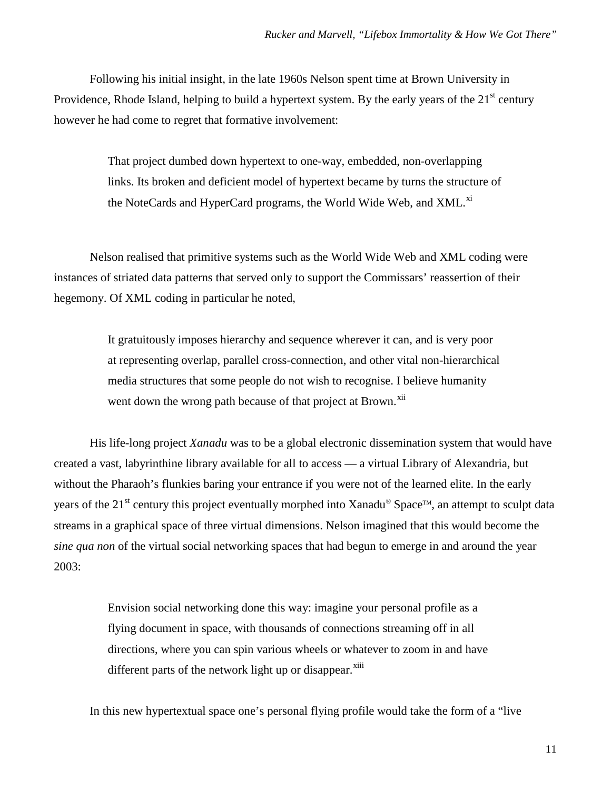Following his initial insight, in the late 1960s Nelson spent time at Brown University in Providence, Rhode Island, helping to build a hypertext system. By the early years of the  $21<sup>st</sup>$  century however he had come to regret that formative involvement:

> That project dumbed down hypertext to one-way, embedded, non-overlapping links. Its broken and deficient model of hypertext became by turns the structure of the NoteCards and HyperCard programs, the World Wide Web, and XML.<sup>[xi](#page-14-8)</sup>

Nelson realised that primitive systems such as the World Wide Web and XML coding were instances of striated data patterns that served only to support the Commissars' reassertion of their hegemony. Of XML coding in particular he noted,

> It gratuitously imposes hierarchy and sequence wherever it can, and is very poor at representing overlap, parallel cross-connection, and other vital non-hierarchical media structures that some people do not wish to recognise. I believe humanity went down the wrong path because of that project at Brown.<sup>[xii](#page-14-9)</sup>

His life-long project *Xanadu* was to be a global electronic dissemination system that would have created a vast, labyrinthine library available for all to access — a virtual Library of Alexandria, but without the Pharaoh's flunkies baring your entrance if you were not of the learned elite. In the early years of the 21<sup>st</sup> century this project eventually morphed into Xanadu® Space<sup>TM</sup>, an attempt to sculpt data streams in a graphical space of three virtual dimensions. Nelson imagined that this would become the *sine qua non* of the virtual social networking spaces that had begun to emerge in and around the year 2003:

> Envision social networking done this way: imagine your personal profile as a flying document in space, with thousands of connections streaming off in all directions, where you can spin various wheels or whatever to zoom in and have different parts of the network light up or disappear.<sup>[xiii](#page-14-10)</sup>

In this new hypertextual space one's personal flying profile would take the form of a "live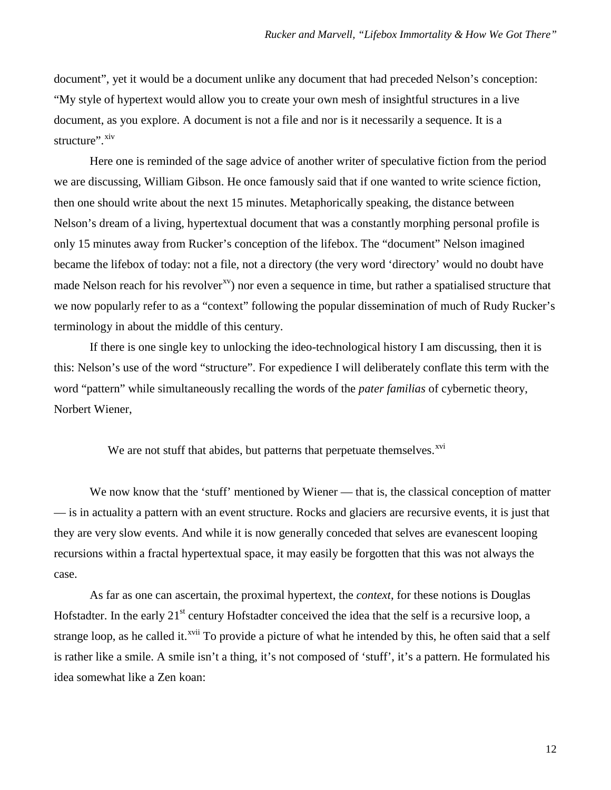document", yet it would be a document unlike any document that had preceded Nelson's conception: "My style of hypertext would allow you to create your own mesh of insightful structures in a live document, as you explore. A document is not a file and nor is it necessarily a sequence. It is a structure".<sup>[xiv](#page-14-11)</sup>

Here one is reminded of the sage advice of another writer of speculative fiction from the period we are discussing, William Gibson. He once famously said that if one wanted to write science fiction, then one should write about the next 15 minutes. Metaphorically speaking, the distance between Nelson's dream of a living, hypertextual document that was a constantly morphing personal profile is only 15 minutes away from Rucker's conception of the lifebox. The "document" Nelson imagined became the lifebox of today: not a file, not a directory (the very word 'directory' would no doubt have made Nelson reach for his revolver<sup>[xv](#page-14-12)</sup>) nor even a sequence in time, but rather a spatialised structure that we now popularly refer to as a "context" following the popular dissemination of much of Rudy Rucker's terminology in about the middle of this century.

If there is one single key to unlocking the ideo-technological history I am discussing, then it is this: Nelson's use of the word "structure". For expedience I will deliberately conflate this term with the word "pattern" while simultaneously recalling the words of the *pater familias* of cybernetic theory, Norbert Wiener,

We are not stuff that abides, but patterns that perpetuate themselves.<sup>[xvi](#page-14-13)</sup>

We now know that the 'stuff' mentioned by Wiener — that is, the classical conception of matter — is in actuality a pattern with an event structure. Rocks and glaciers are recursive events, it is just that they are very slow events. And while it is now generally conceded that selves are evanescent looping recursions within a fractal hypertextual space, it may easily be forgotten that this was not always the case.

As far as one can ascertain, the proximal hypertext, the *context*, for these notions is Douglas Hofstadter. In the early  $21<sup>st</sup>$  century Hofstadter conceived the idea that the self is a recursive loop, a strange loop, as he called it.<sup>[xvii](#page-14-14)</sup> To provide a picture of what he intended by this, he often said that a self is rather like a smile. A smile isn't a thing, it's not composed of 'stuff', it's a pattern. He formulated his idea somewhat like a Zen koan:

12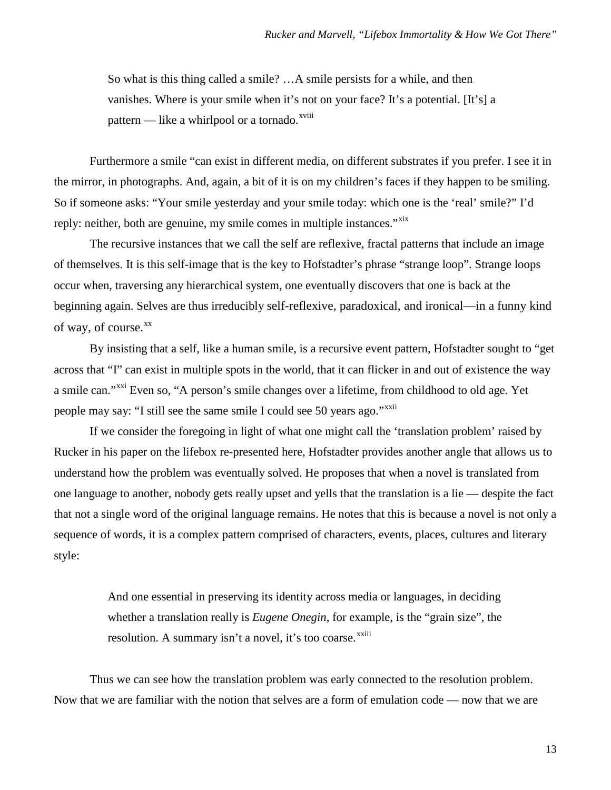So what is this thing called a smile? …A smile persists for a while, and then vanishes. Where is your smile when it's not on your face? It's a potential. [It's] a pattern — like a whirlpool or a tornado. $^{xviii}$ 

Furthermore a smile "can exist in different media, on different substrates if you prefer. I see it in the mirror, in photographs. And, again, a bit of it is on my children's faces if they happen to be smiling. So if someone asks: "Your smile yesterday and your smile today: which one is the 'real' smile?" I'd reply: neither, both are genuine, my smile comes in multiple instances."<sup>[xix](#page-14-15)</sup>

The recursive instances that we call the self are reflexive, fractal patterns that include an image of themselves. It is this self-image that is the key to Hofstadter's phrase "strange loop". Strange loops occur when, traversing any hierarchical system, one eventually discovers that one is back at the beginning again. Selves are thus irreducibly self-reflexive, paradoxical, and ironical—in a funny kind of way, of course. $^{xx}$  $^{xx}$  $^{xx}$ 

By insisting that a self, like a human smile, is a recursive event pattern, Hofstadter sought to "get across that "I" can exist in multiple spots in the world, that it can flicker in and out of existence the way a smile can."[xxi](#page-14-17) Even so, "A person's smile changes over a lifetime, from childhood to old age. Yet people may say: "I still see the same smile I could see 50 years ago."<sup>[xxii](#page-14-18)</sup>

If we consider the foregoing in light of what one might call the 'translation problem' raised by Rucker in his paper on the lifebox re-presented here, Hofstadter provides another angle that allows us to understand how the problem was eventually solved. He proposes that when a novel is translated from one language to another, nobody gets really upset and yells that the translation is a lie — despite the fact that not a single word of the original language remains. He notes that this is because a novel is not only a sequence of words, it is a complex pattern comprised of characters, events, places, cultures and literary style:

> And one essential in preserving its identity across media or languages, in deciding whether a translation really is *Eugene Onegin*, for example, is the "grain size", the resolut[i](#page-14-19)on. A summary isn't a novel, it's too coarse. $^{xxiii}$

Thus we can see how the translation problem was early connected to the resolution problem. Now that we are familiar with the notion that selves are a form of emulation code — now that we are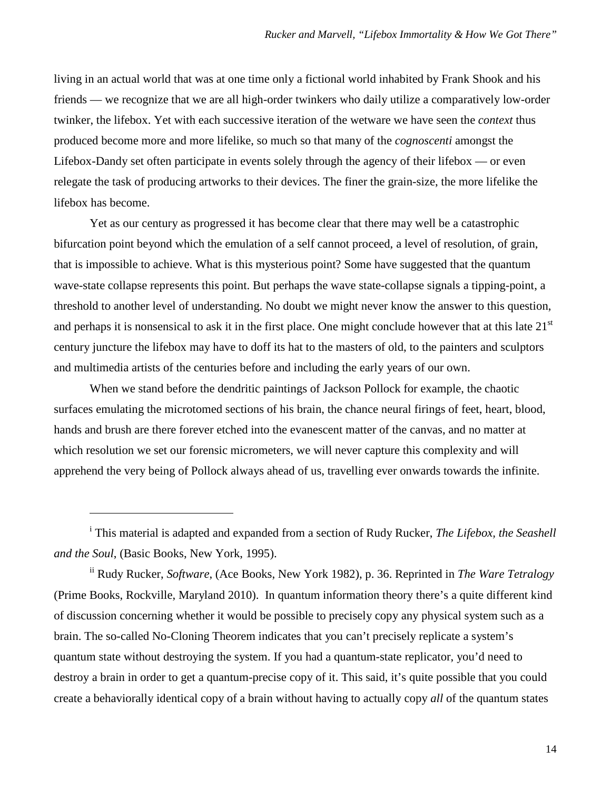living in an actual world that was at one time only a fictional world inhabited by Frank Shook and his friends — we recognize that we are all high-order twinkers who daily utilize a comparatively low-order twinker, the lifebox. Yet with each successive iteration of the wetware we have seen the *context* thus produced become more and more lifelike, so much so that many of the *cognoscenti* amongst the Lifebox-Dandy set often participate in events solely through the agency of their lifebox — or even relegate the task of producing artworks to their devices. The finer the grain-size, the more lifelike the lifebox has become.

Yet as our century as progressed it has become clear that there may well be a catastrophic bifurcation point beyond which the emulation of a self cannot proceed, a level of resolution, of grain, that is impossible to achieve. What is this mysterious point? Some have suggested that the quantum wave-state collapse represents this point. But perhaps the wave state-collapse signals a tipping-point, a threshold to another level of understanding. No doubt we might never know the answer to this question, and perhaps it is nonsensical to ask it in the first place. One might conclude however that at this late 21<sup>st</sup> century juncture the lifebox may have to doff its hat to the masters of old, to the painters and sculptors and multimedia artists of the centuries before and including the early years of our own.

When we stand before the dendritic paintings of Jackson Pollock for example, the chaotic surfaces emulating the microtomed sections of his brain, the chance neural firings of feet, heart, blood, hands and brush are there forever etched into the evanescent matter of the canvas, and no matter at which resolution we set our forensic micrometers, we will never capture this complexity and will apprehend the very being of Pollock always ahead of us, travelling ever onwards towards the infinite.

 $\overline{a}$ 

<span id="page-13-1"></span>ii Rudy Rucker, *Software*, (Ace Books, New York 1982), p. 36. Reprinted in *The Ware Tetralogy*  (Prime Books, Rockville, Maryland 2010). In quantum information theory there's a quite different kind of discussion concerning whether it would be possible to precisely copy any physical system such as a brain. The so-called No-Cloning Theorem indicates that you can't precisely replicate a system's quantum state without destroying the system. If you had a quantum-state replicator, you'd need to destroy a brain in order to get a quantum-precise copy of it. This said, it's quite possible that you could create a behaviorally identical copy of a brain without having to actually copy *all* of the quantum states

<span id="page-13-0"></span><sup>&</sup>lt;sup>i</sup> This material is adapted and expanded from a section of Rudy Rucker, *The Lifebox, the Seashell and the Soul*, (Basic Books, New York, 1995).